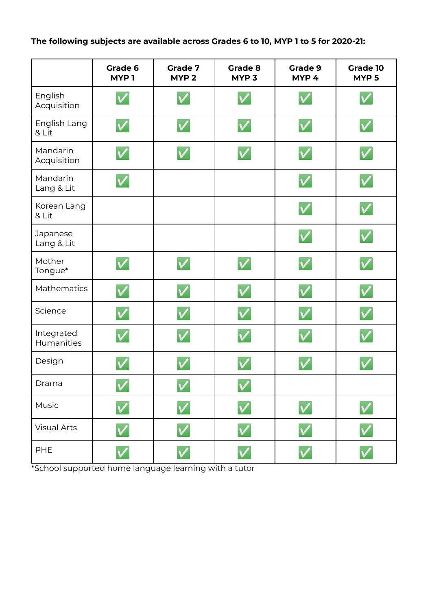**The following subjects are available across Grades 6 to 10, MYP 1 to 5 for 2020-21:**

|                          | Grade 6<br>MYP <sub>1</sub> | <b>Grade 7</b><br>MYP <sub>2</sub> | Grade 8<br>MYP <sub>3</sub> | Grade 9<br>MYP <sub>4</sub> | <b>Grade 10</b><br>MYP <sub>5</sub> |
|--------------------------|-----------------------------|------------------------------------|-----------------------------|-----------------------------|-------------------------------------|
| English<br>Acquisition   | $\checkmark$                |                                    | $\checkmark$                | $\checkmark$                | $\checkmark$                        |
| English Lang<br>& Lit    | $\overline{\mathsf{v}}$     | $\overline{\mathsf{v}}$            | $\blacktriangledown$        | $\overline{\mathsf{v}}$     | $\overline{\mathsf{v}}$             |
| Mandarin<br>Acquisition  | $\blacktriangledown$        | $\boldsymbol{\mathsf{v}}$          | $\checkmark$                | $\checkmark$                | $\checkmark$                        |
| Mandarin<br>Lang & Lit   | $\checkmark$                |                                    |                             | $\checkmark$                | $\checkmark$                        |
| Korean Lang<br>& Lit     |                             |                                    |                             | $\checkmark$                | $\overline{\mathsf{v}}$             |
| Japanese<br>Lang & Lit   |                             |                                    |                             | $\overline{\mathsf{v}}$     | $\overline{\mathsf{v}}$             |
| Mother<br>Tongue*        | $\checkmark$                | $\checkmark$                       | $\checkmark$                | $\checkmark$                | $\checkmark$                        |
| Mathematics              | $\overline{\mathsf{v}}$     | $\checkmark$                       | $\overline{\mathsf{v}}$     | $\overline{\mathsf{v}}$     | $\checkmark$                        |
| Science                  | $\overline{\mathsf{v}}$     | $\checkmark$                       | $\checkmark$                | $\checkmark$                | $\checkmark$                        |
| Integrated<br>Humanities | $\checkmark$                | $\blacktriangledown$               | $\checkmark$                | $\overline{\mathsf{v}}$     | $\overline{\mathsf{v}}$             |
| Design                   |                             |                                    |                             |                             | $\checkmark$                        |
| Drama                    | <b>Contract Contract</b>    | $\checkmark$                       | $\overline{\mathsf{v}}$     |                             |                                     |
| Music                    | $\checkmark$                | $\boldsymbol{\mathsf{v}}$          | $\blacktriangledown$        | $\blacktriangledown$        | $\checkmark$                        |
| <b>Visual Arts</b>       | $\checkmark$                | $\checkmark$                       | $\checkmark$                | $\checkmark$                | $\checkmark$                        |
| PHE                      | $\checkmark$                | V                                  | $\blacktriangledown$        | $\checkmark$                | $\overline{\mathsf{v}}$             |

\*School supported home language learning with a tutor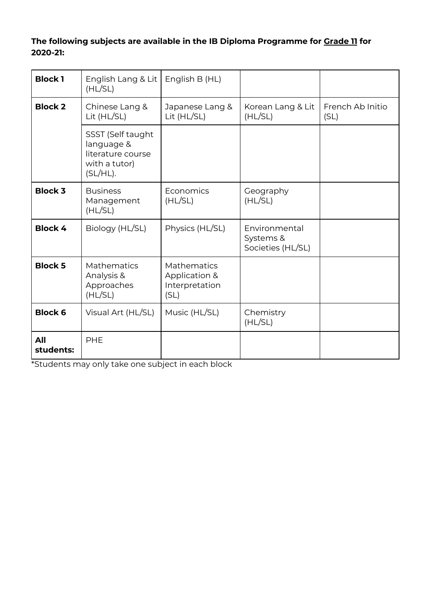## **The following subjects are available in the IB Diploma Programme for Grade 11 for 2020-21:**

| <b>Block 1</b>   | English Lang & Lit<br>(HL/SL)                                                        | English B (HL)                                                |                                                 |                          |
|------------------|--------------------------------------------------------------------------------------|---------------------------------------------------------------|-------------------------------------------------|--------------------------|
| <b>Block 2</b>   | Chinese Lang &<br>Lit $(HL/SL)$                                                      | Japanese Lang &<br>Lit (HL/SL)                                | Korean Lang & Lit<br>(HL/SL)                    | French Ab Initio<br>(SL) |
|                  | SSST (Self taught<br>language &<br>literature course<br>with a tutor)<br>$(SL/HL)$ . |                                                               |                                                 |                          |
| <b>Block 3</b>   | <b>Business</b><br>Management<br>(HL/SL)                                             | Economics<br>(HL/SL)                                          | Geography<br>(HL/SL)                            |                          |
| <b>Block 4</b>   | Biology (HL/SL)                                                                      | Physics (HL/SL)                                               | Environmental<br>Systems &<br>Societies (HL/SL) |                          |
| <b>Block 5</b>   | <b>Mathematics</b><br>Analysis &<br>Approaches<br>(HL/SL)                            | <b>Mathematics</b><br>Application &<br>Interpretation<br>(SL) |                                                 |                          |
| <b>Block 6</b>   | Visual Art (HL/SL)                                                                   | Music (HL/SL)                                                 | Chemistry<br>(HL/SL)                            |                          |
| All<br>students: | PHE                                                                                  |                                                               |                                                 |                          |

\*Students may only take one subject in each block